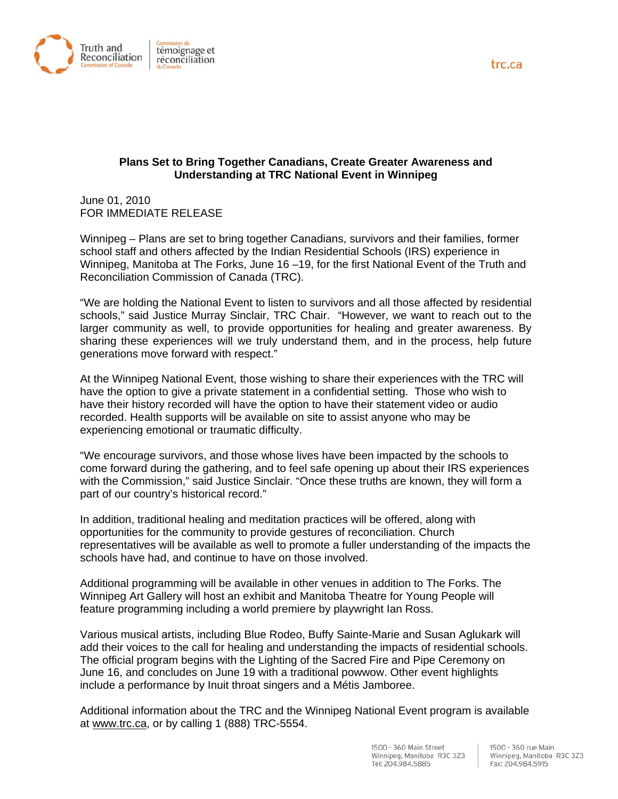

## **Plans Set to Bring Together Canadians, Create Greater Awareness and Understanding at TRC National Event in Winnipeg**

June 01, 2010 FOR IMMEDIATE RELEASE

Winnipeg – Plans are set to bring together Canadians, survivors and their families, former school staff and others affected by the Indian Residential Schools (IRS) experience in Winnipeg, Manitoba at The Forks, June 16 –19, for the first National Event of the Truth and Reconciliation Commission of Canada (TRC).

"We are holding the National Event to listen to survivors and all those affected by residential schools," said Justice Murray Sinclair, TRC Chair. "However, we want to reach out to the larger community as well, to provide opportunities for healing and greater awareness. By sharing these experiences will we truly understand them, and in the process, help future generations move forward with respect."

At the Winnipeg National Event, those wishing to share their experiences with the TRC will have the option to give a private statement in a confidential setting. Those who wish to have their history recorded will have the option to have their statement video or audio recorded. Health supports will be available on site to assist anyone who may be experiencing emotional or traumatic difficulty.

"We encourage survivors, and those whose lives have been impacted by the schools to come forward during the gathering, and to feel safe opening up about their IRS experiences with the Commission," said Justice Sinclair. "Once these truths are known, they will form a part of our country's historical record."

In addition, traditional healing and meditation practices will be offered, along with opportunities for the community to provide gestures of reconciliation. Church representatives will be available as well to promote a fuller understanding of the impacts the schools have had, and continue to have on those involved.

Additional programming will be available in other venues in addition to The Forks. The Winnipeg Art Gallery will host an exhibit and Manitoba Theatre for Young People will feature programming including a world premiere by playwright Ian Ross.

Various musical artists, including Blue Rodeo, Buffy Sainte-Marie and Susan Aglukark will add their voices to the call for healing and understanding the impacts of residential schools. The official program begins with the Lighting of the Sacred Fire and Pipe Ceremony on June 16, and concludes on June 19 with a traditional powwow. Other event highlights include a performance by Inuit throat singers and a Métis Jamboree.

Additional information about the TRC and the Winnipeg National Event program is available at www.trc.ca, or by calling 1 (888) TRC-5554.